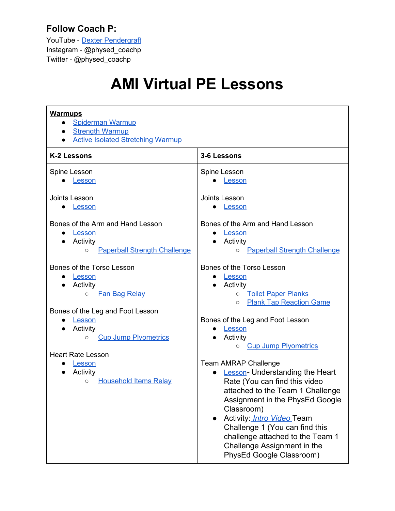## **Follow Coach P:**

YouTube - Dexter [Pendergraft](https://www.youtube.com/channel/UCMXuKU2MdpzUVjI47iUpyBg/videos?view=0&sort=dd&shelf_id=0&view_as=subscriber) Instagram - @physed\_coachp Twitter - @physed\_coachp

## **AMI Virtual PE Lessons**

| <b>Warmups</b><br><b>Spiderman Warmup</b><br>$\bullet$<br><b>Strength Warmup</b><br>$\bullet$<br><b>Active Isolated Stretching Warmup</b>                                                           |                                                                                                                                                                                                                                                                                                                                                                                                       |
|-----------------------------------------------------------------------------------------------------------------------------------------------------------------------------------------------------|-------------------------------------------------------------------------------------------------------------------------------------------------------------------------------------------------------------------------------------------------------------------------------------------------------------------------------------------------------------------------------------------------------|
| K-2 Lessons                                                                                                                                                                                         | 3-6 Lessons                                                                                                                                                                                                                                                                                                                                                                                           |
| Spine Lesson<br>Lesson                                                                                                                                                                              | Spine Lesson<br>Lesson                                                                                                                                                                                                                                                                                                                                                                                |
| Joints Lesson<br>Lesson                                                                                                                                                                             | Joints Lesson<br>Lesson                                                                                                                                                                                                                                                                                                                                                                               |
| Bones of the Arm and Hand Lesson<br>Lesson<br>$\bullet$<br>Activity<br><b>Paperball Strength Challenge</b><br>$\circ$                                                                               | Bones of the Arm and Hand Lesson<br>Lesson<br>Activity<br><b>Paperball Strength Challenge</b><br>$\circ$                                                                                                                                                                                                                                                                                              |
| Bones of the Torso Lesson<br>Lesson<br>$\bullet$<br>Activity<br><b>Fan Bag Relay</b><br>$\circ$<br>Bones of the Leg and Foot Lesson<br>Lesson<br>Activity<br><b>Cup Jump Plyometrics</b><br>$\circ$ | Bones of the Torso Lesson<br><u>Lesson</u><br>Activity<br><b>Toilet Paper Planks</b><br>$\circ$<br><b>Plank Tap Reaction Game</b><br>$\circ$<br>Bones of the Leg and Foot Lesson<br>Lesson<br>Activity                                                                                                                                                                                                |
| <b>Heart Rate Lesson</b><br>Lesson<br>$\bullet$<br>Activity<br>$\bullet$<br><b>Household Items Relay</b><br>$\circ$                                                                                 | <b>Cup Jump Plyometrics</b><br>$\circ$<br><b>Team AMRAP Challenge</b><br>• Lesson-Understanding the Heart<br>Rate (You can find this video<br>attached to the Team 1 Challenge<br>Assignment in the PhysEd Google<br>Classroom)<br>Activity: <i>Intro Video</i> Team<br>Challenge 1 (You can find this<br>challenge attached to the Team 1<br>Challenge Assignment in the<br>PhysEd Google Classroom) |